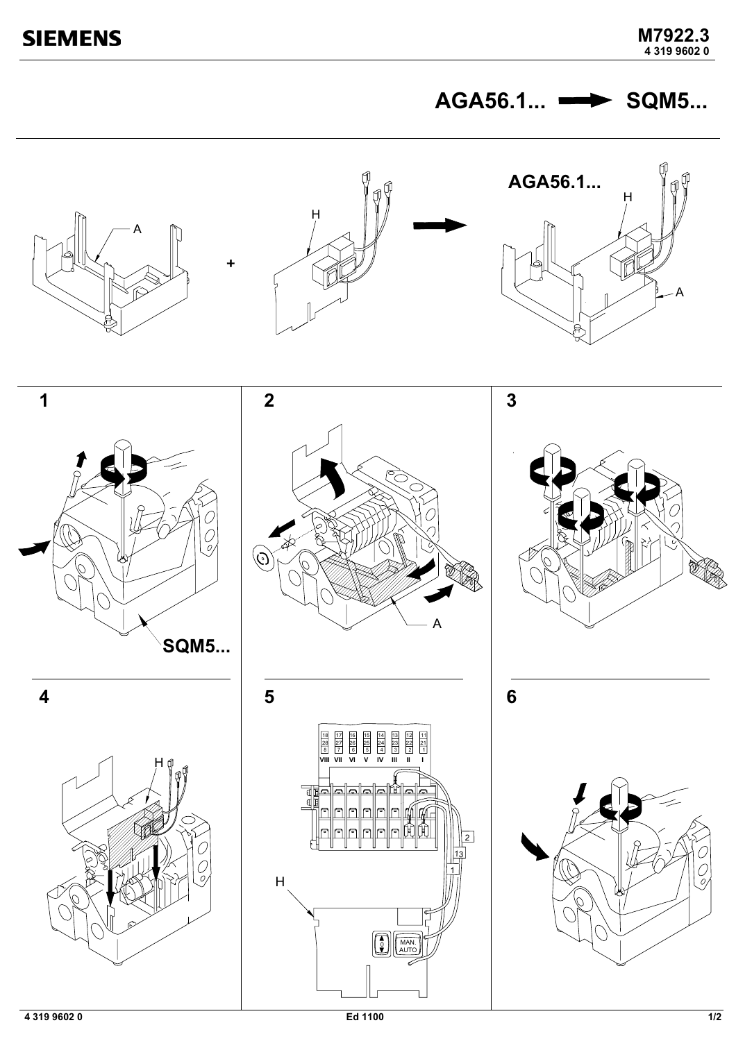AGA56.1... **- SQM5...** 





















 $\overline{\mathbf{4}}$